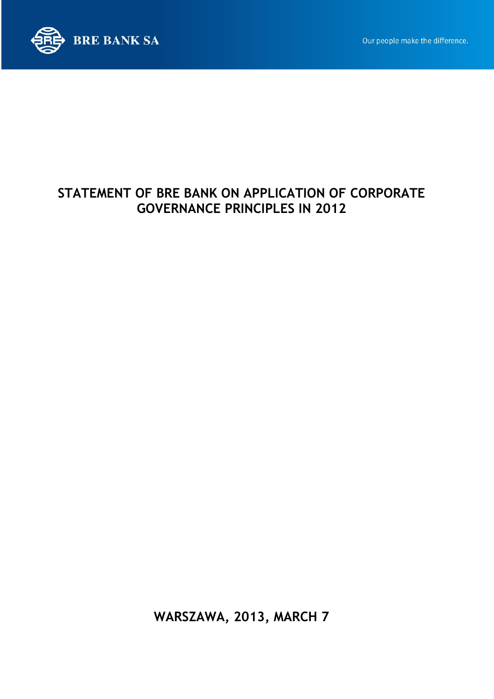



# STATEMENT OF BRE BANK ON APPLICATION OF CORPORATE GOVERNANCE PRINCIPLES IN 2012

WARSZAWA, 2013, MARCH 7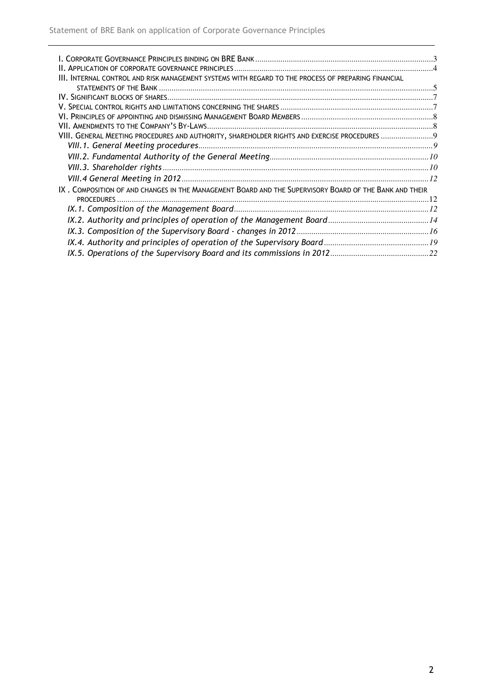| III. INTERNAL CONTROL AND RISK MANAGEMENT SYSTEMS WITH REGARD TO THE PROCESS OF PREPARING FINANCIAL    |  |
|--------------------------------------------------------------------------------------------------------|--|
|                                                                                                        |  |
|                                                                                                        |  |
|                                                                                                        |  |
|                                                                                                        |  |
|                                                                                                        |  |
| VIII. GENERAL MEETING PROCEDURES AND AUTHORITY, SHAREHOLDER RIGHTS AND EXERCISE PROCEDURES  9          |  |
|                                                                                                        |  |
|                                                                                                        |  |
|                                                                                                        |  |
|                                                                                                        |  |
| IX. COMPOSITION OF AND CHANGES IN THE MANAGEMENT BOARD AND THE SUPERVISORY BOARD OF THE BANK AND THEIR |  |
|                                                                                                        |  |
|                                                                                                        |  |
|                                                                                                        |  |
|                                                                                                        |  |
|                                                                                                        |  |
|                                                                                                        |  |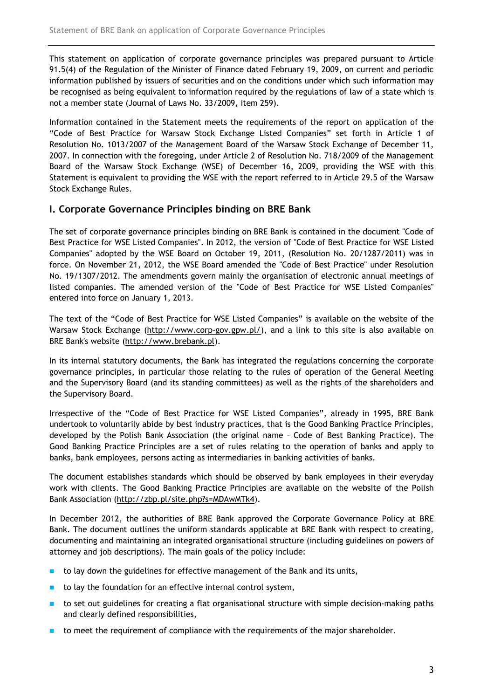This statement on application of corporate governance principles was prepared pursuant to Article 91.5(4) of the Regulation of the Minister of Finance dated February 19, 2009, on current and periodic information published by issuers of securities and on the conditions under which such information may be recognised as being equivalent to information required by the regulations of law of a state which is not a member state (Journal of Laws No. 33/2009, item 259).

Information contained in the Statement meets the requirements of the report on application of the "Code of Best Practice for Warsaw Stock Exchange Listed Companies" set forth in Article 1 of Resolution No. 1013/2007 of the Management Board of the Warsaw Stock Exchange of December 11, 2007. In connection with the foregoing, under Article 2 of Resolution No. 718/2009 of the Management Board of the Warsaw Stock Exchange (WSE) of December 16, 2009, providing the WSE with this Statement is equivalent to providing the WSE with the report referred to in Article 29.5 of the Warsaw Stock Exchange Rules.

# I. Corporate Governance Principles binding on BRE Bank

The set of corporate governance principles binding on BRE Bank is contained in the document "Code of Best Practice for WSE Listed Companies". In 2012, the version of "Code of Best Practice for WSE Listed Companies" adopted by the WSE Board on October 19, 2011, (Resolution No. 20/1287/2011) was in force. On November 21, 2012, the WSE Board amended the "Code of Best Practice" under Resolution No. 19/1307/2012. The amendments govern mainly the organisation of electronic annual meetings of listed companies. The amended version of the "Code of Best Practice for WSE Listed Companies" entered into force on January 1, 2013.

The text of the "Code of Best Practice for WSE Listed Companies" is available on the website of the Warsaw Stock Exchange (http://www.corp-gov.gpw.pl/), and a link to this site is also available on BRE Bank's website (http://www.brebank.pl).

In its internal statutory documents, the Bank has integrated the regulations concerning the corporate governance principles, in particular those relating to the rules of operation of the General Meeting and the Supervisory Board (and its standing committees) as well as the rights of the shareholders and the Supervisory Board.

Irrespective of the "Code of Best Practice for WSE Listed Companies", already in 1995, BRE Bank undertook to voluntarily abide by best industry practices, that is the Good Banking Practice Principles, developed by the Polish Bank Association (the original name – Code of Best Banking Practice). The Good Banking Practice Principles are a set of rules relating to the operation of banks and apply to banks, bank employees, persons acting as intermediaries in banking activities of banks.

The document establishes standards which should be observed by bank employees in their everyday work with clients. The Good Banking Practice Principles are available on the website of the Polish Bank Association (http://zbp.pl/site.php?s=MDAwMTk4).

In December 2012, the authorities of BRE Bank approved the Corporate Governance Policy at BRE Bank. The document outlines the uniform standards applicable at BRE Bank with respect to creating, documenting and maintaining an integrated organisational structure (including guidelines on powers of attorney and job descriptions). The main goals of the policy include:

- to lay down the guidelines for effective management of the Bank and its units,
- $\blacksquare$  to lay the foundation for an effective internal control system,
- to set out guidelines for creating a flat organisational structure with simple decision-making paths and clearly defined responsibilities,
- to meet the requirement of compliance with the requirements of the major shareholder.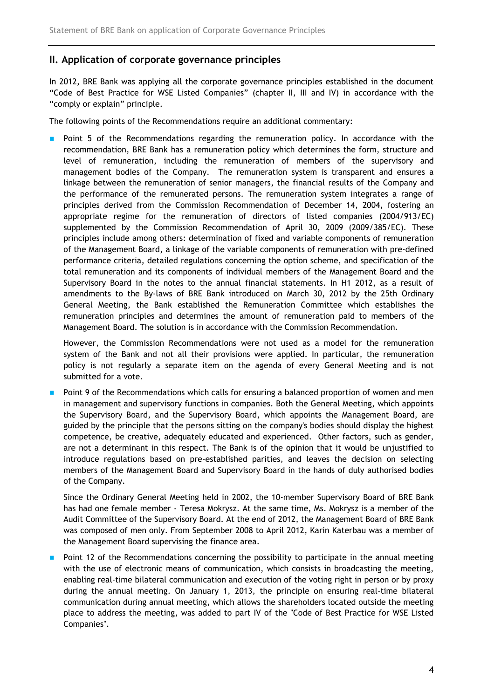# II. Application of corporate governance principles

In 2012, BRE Bank was applying all the corporate governance principles established in the document "Code of Best Practice for WSE Listed Companies" (chapter II, III and IV) in accordance with the "comply or explain" principle.

The following points of the Recommendations require an additional commentary:

 Point 5 of the Recommendations regarding the remuneration policy. In accordance with the recommendation, BRE Bank has a remuneration policy which determines the form, structure and level of remuneration, including the remuneration of members of the supervisory and management bodies of the Company. The remuneration system is transparent and ensures a linkage between the remuneration of senior managers, the financial results of the Company and the performance of the remunerated persons. The remuneration system integrates a range of principles derived from the Commission Recommendation of December 14, 2004, fostering an appropriate regime for the remuneration of directors of listed companies (2004/913/EC) supplemented by the Commission Recommendation of April 30, 2009 (2009/385/EC). These principles include among others: determination of fixed and variable components of remuneration of the Management Board, a linkage of the variable components of remuneration with pre-defined performance criteria, detailed regulations concerning the option scheme, and specification of the total remuneration and its components of individual members of the Management Board and the Supervisory Board in the notes to the annual financial statements. In H1 2012, as a result of amendments to the By-laws of BRE Bank introduced on March 30, 2012 by the 25th Ordinary General Meeting, the Bank established the Remuneration Committee which establishes the remuneration principles and determines the amount of remuneration paid to members of the Management Board. The solution is in accordance with the Commission Recommendation.

However, the Commission Recommendations were not used as a model for the remuneration system of the Bank and not all their provisions were applied. In particular, the remuneration policy is not regularly a separate item on the agenda of every General Meeting and is not submitted for a vote.

 Point 9 of the Recommendations which calls for ensuring a balanced proportion of women and men in management and supervisory functions in companies. Both the General Meeting, which appoints the Supervisory Board, and the Supervisory Board, which appoints the Management Board, are guided by the principle that the persons sitting on the company's bodies should display the highest competence, be creative, adequately educated and experienced. Other factors, such as gender, are not a determinant in this respect. The Bank is of the opinion that it would be unjustified to introduce regulations based on pre-established parities, and leaves the decision on selecting members of the Management Board and Supervisory Board in the hands of duly authorised bodies of the Company.

Since the Ordinary General Meeting held in 2002, the 10-member Supervisory Board of BRE Bank has had one female member - Teresa Mokrysz. At the same time, Ms. Mokrysz is a member of the Audit Committee of the Supervisory Board. At the end of 2012, the Management Board of BRE Bank was composed of men only. From September 2008 to April 2012, Karin Katerbau was a member of the Management Board supervising the finance area.

 Point 12 of the Recommendations concerning the possibility to participate in the annual meeting with the use of electronic means of communication, which consists in broadcasting the meeting, enabling real-time bilateral communication and execution of the voting right in person or by proxy during the annual meeting. On January 1, 2013, the principle on ensuring real-time bilateral communication during annual meeting, which allows the shareholders located outside the meeting place to address the meeting, was added to part IV of the "Code of Best Practice for WSE Listed Companies".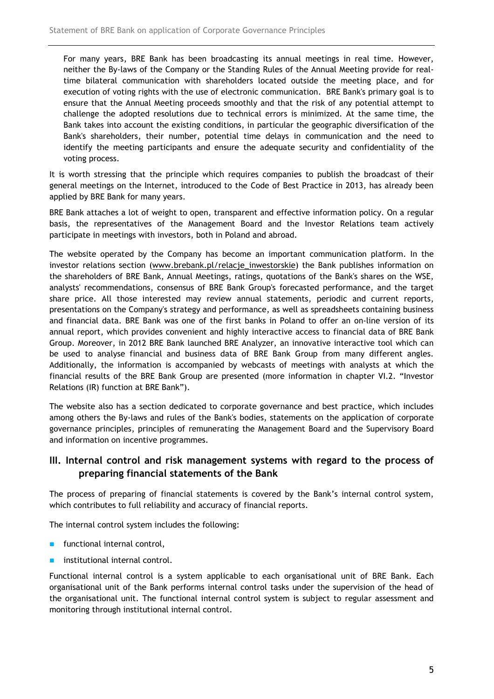For many years, BRE Bank has been broadcasting its annual meetings in real time. However, neither the By-laws of the Company or the Standing Rules of the Annual Meeting provide for realtime bilateral communication with shareholders located outside the meeting place, and for execution of voting rights with the use of electronic communication. BRE Bank's primary goal is to ensure that the Annual Meeting proceeds smoothly and that the risk of any potential attempt to challenge the adopted resolutions due to technical errors is minimized. At the same time, the Bank takes into account the existing conditions, in particular the geographic diversification of the Bank's shareholders, their number, potential time delays in communication and the need to identify the meeting participants and ensure the adequate security and confidentiality of the voting process.

It is worth stressing that the principle which requires companies to publish the broadcast of their general meetings on the Internet, introduced to the Code of Best Practice in 2013, has already been applied by BRE Bank for many years.

BRE Bank attaches a lot of weight to open, transparent and effective information policy. On a regular basis, the representatives of the Management Board and the Investor Relations team actively participate in meetings with investors, both in Poland and abroad.

The website operated by the Company has become an important communication platform. In the investor relations section (www.brebank.pl/relacje\_inwestorskie) the Bank publishes information on the shareholders of BRE Bank, Annual Meetings, ratings, quotations of the Bank's shares on the WSE, analysts' recommendations, consensus of BRE Bank Group's forecasted performance, and the target share price. All those interested may review annual statements, periodic and current reports, presentations on the Company's strategy and performance, as well as spreadsheets containing business and financial data. BRE Bank was one of the first banks in Poland to offer an on-line version of its annual report, which provides convenient and highly interactive access to financial data of BRE Bank Group. Moreover, in 2012 BRE Bank launched BRE Analyzer, an innovative interactive tool which can be used to analyse financial and business data of BRE Bank Group from many different angles. Additionally, the information is accompanied by webcasts of meetings with analysts at which the financial results of the BRE Bank Group are presented (more information in chapter VI.2. "Investor Relations (IR) function at BRE Bank").

The website also has a section dedicated to corporate governance and best practice, which includes among others the By-laws and rules of the Bank's bodies, statements on the application of corporate governance principles, principles of remunerating the Management Board and the Supervisory Board and information on incentive programmes.

# III. Internal control and risk management systems with regard to the process of preparing financial statements of the Bank

The process of preparing of financial statements is covered by the Bank's internal control system, which contributes to full reliability and accuracy of financial reports.

The internal control system includes the following:

- **functional internal control,**
- institutional internal control.

Functional internal control is a system applicable to each organisational unit of BRE Bank. Each organisational unit of the Bank performs internal control tasks under the supervision of the head of the organisational unit. The functional internal control system is subject to regular assessment and monitoring through institutional internal control.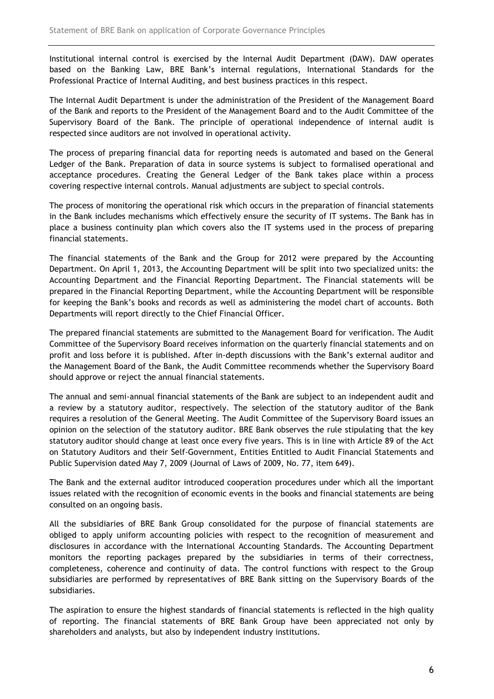Institutional internal control is exercised by the Internal Audit Department (DAW). DAW operates based on the Banking Law, BRE Bank's internal regulations, International Standards for the Professional Practice of Internal Auditing, and best business practices in this respect.

The Internal Audit Department is under the administration of the President of the Management Board of the Bank and reports to the President of the Management Board and to the Audit Committee of the Supervisory Board of the Bank. The principle of operational independence of internal audit is respected since auditors are not involved in operational activity.

The process of preparing financial data for reporting needs is automated and based on the General Ledger of the Bank. Preparation of data in source systems is subject to formalised operational and acceptance procedures. Creating the General Ledger of the Bank takes place within a process covering respective internal controls. Manual adjustments are subject to special controls.

The process of monitoring the operational risk which occurs in the preparation of financial statements in the Bank includes mechanisms which effectively ensure the security of IT systems. The Bank has in place a business continuity plan which covers also the IT systems used in the process of preparing financial statements.

The financial statements of the Bank and the Group for 2012 were prepared by the Accounting Department. On April 1, 2013, the Accounting Department will be split into two specialized units: the Accounting Department and the Financial Reporting Department. The Financial statements will be prepared in the Financial Reporting Department, while the Accounting Department will be responsible for keeping the Bank's books and records as well as administering the model chart of accounts. Both Departments will report directly to the Chief Financial Officer.

The prepared financial statements are submitted to the Management Board for verification. The Audit Committee of the Supervisory Board receives information on the quarterly financial statements and on profit and loss before it is published. After in-depth discussions with the Bank's external auditor and the Management Board of the Bank, the Audit Committee recommends whether the Supervisory Board should approve or reject the annual financial statements.

The annual and semi-annual financial statements of the Bank are subject to an independent audit and a review by a statutory auditor, respectively. The selection of the statutory auditor of the Bank requires a resolution of the General Meeting. The Audit Committee of the Supervisory Board issues an opinion on the selection of the statutory auditor. BRE Bank observes the rule stipulating that the key statutory auditor should change at least once every five years. This is in line with Article 89 of the Act on Statutory Auditors and their Self-Government, Entities Entitled to Audit Financial Statements and Public Supervision dated May 7, 2009 (Journal of Laws of 2009, No. 77, item 649).

The Bank and the external auditor introduced cooperation procedures under which all the important issues related with the recognition of economic events in the books and financial statements are being consulted on an ongoing basis.

All the subsidiaries of BRE Bank Group consolidated for the purpose of financial statements are obliged to apply uniform accounting policies with respect to the recognition of measurement and disclosures in accordance with the International Accounting Standards. The Accounting Department monitors the reporting packages prepared by the subsidiaries in terms of their correctness, completeness, coherence and continuity of data. The control functions with respect to the Group subsidiaries are performed by representatives of BRE Bank sitting on the Supervisory Boards of the subsidiaries.

The aspiration to ensure the highest standards of financial statements is reflected in the high quality of reporting. The financial statements of BRE Bank Group have been appreciated not only by shareholders and analysts, but also by independent industry institutions.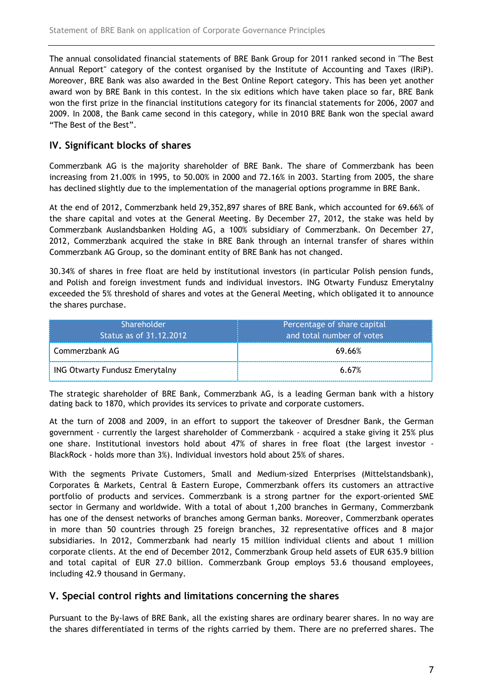The annual consolidated financial statements of BRE Bank Group for 2011 ranked second in "The Best Annual Report" category of the contest organised by the Institute of Accounting and Taxes (IRiP). Moreover, BRE Bank was also awarded in the Best Online Report category. This has been yet another award won by BRE Bank in this contest. In the six editions which have taken place so far, BRE Bank won the first prize in the financial institutions category for its financial statements for 2006, 2007 and 2009. In 2008, the Bank came second in this category, while in 2010 BRE Bank won the special award "The Best of the Best".

# IV. Significant blocks of shares

Commerzbank AG is the majority shareholder of BRE Bank. The share of Commerzbank has been increasing from 21.00% in 1995, to 50.00% in 2000 and 72.16% in 2003. Starting from 2005, the share has declined slightly due to the implementation of the managerial options programme in BRE Bank.

At the end of 2012, Commerzbank held 29,352,897 shares of BRE Bank, which accounted for 69.66% of the share capital and votes at the General Meeting. By December 27, 2012, the stake was held by Commerzbank Auslandsbanken Holding AG, a 100% subsidiary of Commerzbank. On December 27, 2012, Commerzbank acquired the stake in BRE Bank through an internal transfer of shares within Commerzbank AG Group, so the dominant entity of BRE Bank has not changed.

30.34% of shares in free float are held by institutional investors (in particular Polish pension funds, and Polish and foreign investment funds and individual investors. ING Otwarty Fundusz Emerytalny exceeded the 5% threshold of shares and votes at the General Meeting, which obligated it to announce the shares purchase.

| <b>Shareholder</b><br>Status as of 31.12.2012 <b>Status</b> | Percentage of share capital<br>and total number of votes |  |  |
|-------------------------------------------------------------|----------------------------------------------------------|--|--|
| Commerzbank AG                                              | 69.66%                                                   |  |  |
| <b>ING Otwarty Fundusz Emerytalny</b>                       | 6.67%                                                    |  |  |

The strategic shareholder of BRE Bank, Commerzbank AG, is a leading German bank with a history dating back to 1870, which provides its services to private and corporate customers.

At the turn of 2008 and 2009, in an effort to support the takeover of Dresdner Bank, the German government - currently the largest shareholder of Commerzbank - acquired a stake giving it 25% plus one share. Institutional investors hold about 47% of shares in free float (the largest investor - BlackRock - holds more than 3%). Individual investors hold about 25% of shares.

With the segments Private Customers, Small and Medium-sized Enterprises (Mittelstandsbank), Corporates & Markets, Central & Eastern Europe, Commerzbank offers its customers an attractive portfolio of products and services. Commerzbank is a strong partner for the export-oriented SME sector in Germany and worldwide. With a total of about 1,200 branches in Germany, Commerzbank has one of the densest networks of branches among German banks. Moreover, Commerzbank operates in more than 50 countries through 25 foreign branches, 32 representative offices and 8 major subsidiaries. In 2012, Commerzbank had nearly 15 million individual clients and about 1 million corporate clients. At the end of December 2012, Commerzbank Group held assets of EUR 635.9 billion and total capital of EUR 27.0 billion. Commerzbank Group employs 53.6 thousand employees, including 42.9 thousand in Germany.

# V. Special control rights and limitations concerning the shares

Pursuant to the By-laws of BRE Bank, all the existing shares are ordinary bearer shares. In no way are the shares differentiated in terms of the rights carried by them. There are no preferred shares. The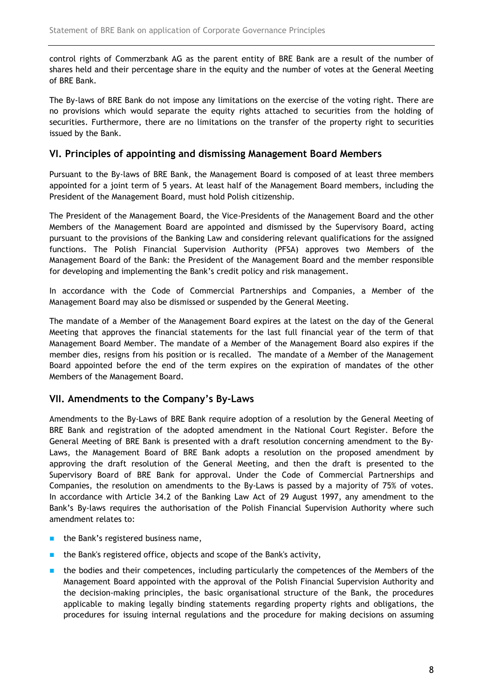control rights of Commerzbank AG as the parent entity of BRE Bank are a result of the number of shares held and their percentage share in the equity and the number of votes at the General Meeting of BRE Bank.

The By-laws of BRE Bank do not impose any limitations on the exercise of the voting right. There are no provisions which would separate the equity rights attached to securities from the holding of securities. Furthermore, there are no limitations on the transfer of the property right to securities issued by the Bank.

# VI. Principles of appointing and dismissing Management Board Members

Pursuant to the By-laws of BRE Bank, the Management Board is composed of at least three members appointed for a joint term of 5 years. At least half of the Management Board members, including the President of the Management Board, must hold Polish citizenship.

The President of the Management Board, the Vice-Presidents of the Management Board and the other Members of the Management Board are appointed and dismissed by the Supervisory Board, acting pursuant to the provisions of the Banking Law and considering relevant qualifications for the assigned functions. The Polish Financial Supervision Authority (PFSA) approves two Members of the Management Board of the Bank: the President of the Management Board and the member responsible for developing and implementing the Bank's credit policy and risk management.

In accordance with the Code of Commercial Partnerships and Companies, a Member of the Management Board may also be dismissed or suspended by the General Meeting.

The mandate of a Member of the Management Board expires at the latest on the day of the General Meeting that approves the financial statements for the last full financial year of the term of that Management Board Member. The mandate of a Member of the Management Board also expires if the member dies, resigns from his position or is recalled. The mandate of a Member of the Management Board appointed before the end of the term expires on the expiration of mandates of the other Members of the Management Board.

# VII. Amendments to the Company's By-Laws

Amendments to the By-Laws of BRE Bank require adoption of a resolution by the General Meeting of BRE Bank and registration of the adopted amendment in the National Court Register. Before the General Meeting of BRE Bank is presented with a draft resolution concerning amendment to the By-Laws, the Management Board of BRE Bank adopts a resolution on the proposed amendment by approving the draft resolution of the General Meeting, and then the draft is presented to the Supervisory Board of BRE Bank for approval. Under the Code of Commercial Partnerships and Companies, the resolution on amendments to the By-Laws is passed by a majority of 75% of votes. In accordance with Article 34.2 of the Banking Law Act of 29 August 1997, any amendment to the Bank's By-laws requires the authorisation of the Polish Financial Supervision Authority where such amendment relates to:

- **the Bank's registered business name,**
- **the Bank's registered office, objects and scope of the Bank's activity,**
- **the bodies and their competences, including particularly the competences of the Members of the** Management Board appointed with the approval of the Polish Financial Supervision Authority and the decision-making principles, the basic organisational structure of the Bank, the procedures applicable to making legally binding statements regarding property rights and obligations, the procedures for issuing internal regulations and the procedure for making decisions on assuming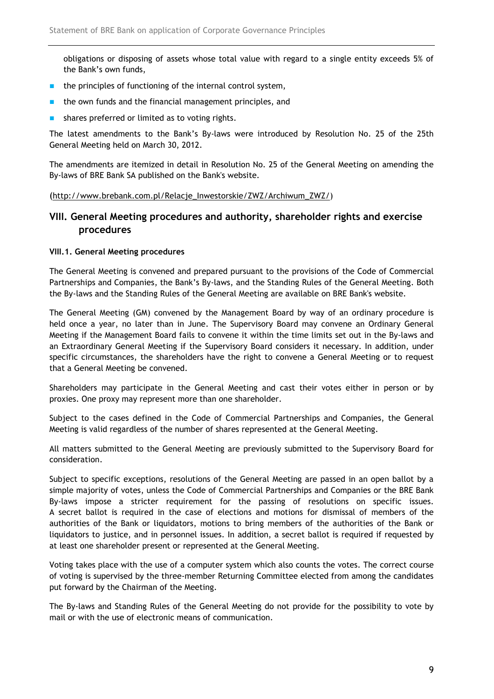obligations or disposing of assets whose total value with regard to a single entity exceeds 5% of the Bank's own funds,

- $\blacksquare$  the principles of functioning of the internal control system,
- $\blacksquare$  the own funds and the financial management principles, and
- shares preferred or limited as to voting rights.

The latest amendments to the Bank's By-laws were introduced by Resolution No. 25 of the 25th General Meeting held on March 30, 2012.

The amendments are itemized in detail in Resolution No. 25 of the General Meeting on amending the By-laws of BRE Bank SA published on the Bank's website.

### (http://www.brebank.com.pl/Relacje\_Inwestorskie/ZWZ/Archiwum\_ZWZ/)

# VIII. General Meeting procedures and authority, shareholder rights and exercise procedures

### VIII.1. General Meeting procedures

The General Meeting is convened and prepared pursuant to the provisions of the Code of Commercial Partnerships and Companies, the Bank's By-laws, and the Standing Rules of the General Meeting. Both the By-laws and the Standing Rules of the General Meeting are available on BRE Bank's website.

The General Meeting (GM) convened by the Management Board by way of an ordinary procedure is held once a year, no later than in June. The Supervisory Board may convene an Ordinary General Meeting if the Management Board fails to convene it within the time limits set out in the By-laws and an Extraordinary General Meeting if the Supervisory Board considers it necessary. In addition, under specific circumstances, the shareholders have the right to convene a General Meeting or to request that a General Meeting be convened.

Shareholders may participate in the General Meeting and cast their votes either in person or by proxies. One proxy may represent more than one shareholder.

Subject to the cases defined in the Code of Commercial Partnerships and Companies, the General Meeting is valid regardless of the number of shares represented at the General Meeting.

All matters submitted to the General Meeting are previously submitted to the Supervisory Board for consideration.

Subject to specific exceptions, resolutions of the General Meeting are passed in an open ballot by a simple majority of votes, unless the Code of Commercial Partnerships and Companies or the BRE Bank By-laws impose a stricter requirement for the passing of resolutions on specific issues. A secret ballot is required in the case of elections and motions for dismissal of members of the authorities of the Bank or liquidators, motions to bring members of the authorities of the Bank or liquidators to justice, and in personnel issues. In addition, a secret ballot is required if requested by at least one shareholder present or represented at the General Meeting.

Voting takes place with the use of a computer system which also counts the votes. The correct course of voting is supervised by the three-member Returning Committee elected from among the candidates put forward by the Chairman of the Meeting.

The By-laws and Standing Rules of the General Meeting do not provide for the possibility to vote by mail or with the use of electronic means of communication.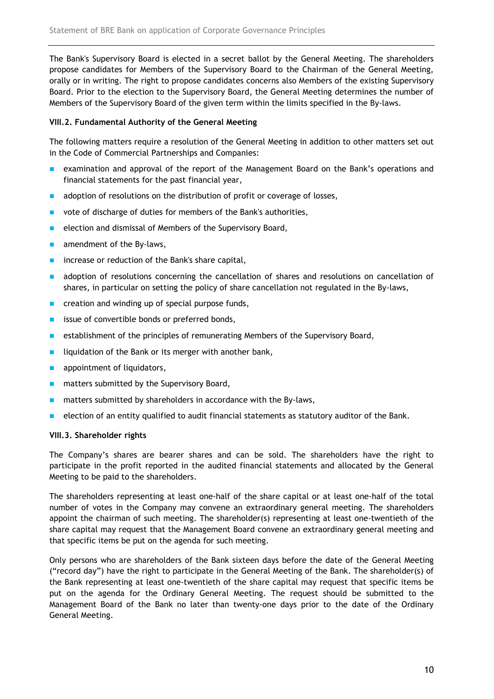The Bank's Supervisory Board is elected in a secret ballot by the General Meeting. The shareholders propose candidates for Members of the Supervisory Board to the Chairman of the General Meeting, orally or in writing. The right to propose candidates concerns also Members of the existing Supervisory Board. Prior to the election to the Supervisory Board, the General Meeting determines the number of Members of the Supervisory Board of the given term within the limits specified in the By-laws.

### VIII.2. Fundamental Authority of the General Meeting

The following matters require a resolution of the General Meeting in addition to other matters set out in the Code of Commercial Partnerships and Companies:

- **EXAM** examination and approval of the report of the Management Board on the Bank's operations and financial statements for the past financial year,
- adoption of resolutions on the distribution of profit or coverage of losses,
- vote of discharge of duties for members of the Bank's authorities,
- $\blacksquare$  election and dismissal of Members of the Supervisory Board,
- $\blacksquare$  amendment of the By-laws,
- **n** increase or reduction of the Bank's share capital,
- **a** adoption of resolutions concerning the cancellation of shares and resolutions on cancellation of shares, in particular on setting the policy of share cancellation not regulated in the By-laws,
- **EXECTE 2018 Creation and winding up of special purpose funds,**
- **EXECUTE:** issue of convertible bonds or preferred bonds,
- **EXECUTE:** establishment of the principles of remunerating Members of the Supervisory Board,
- liquidation of the Bank or its merger with another bank,
- **a** appointment of liquidators,
- $\blacksquare$  matters submitted by the Supervisory Board,
- matters submitted by shareholders in accordance with the By-laws,
- election of an entity qualified to audit financial statements as statutory auditor of the Bank.

### VIII.3. Shareholder rights

The Company's shares are bearer shares and can be sold. The shareholders have the right to participate in the profit reported in the audited financial statements and allocated by the General Meeting to be paid to the shareholders.

The shareholders representing at least one-half of the share capital or at least one-half of the total number of votes in the Company may convene an extraordinary general meeting. The shareholders appoint the chairman of such meeting. The shareholder(s) representing at least one-twentieth of the share capital may request that the Management Board convene an extraordinary general meeting and that specific items be put on the agenda for such meeting.

Only persons who are shareholders of the Bank sixteen days before the date of the General Meeting ("record day") have the right to participate in the General Meeting of the Bank. The shareholder(s) of the Bank representing at least one-twentieth of the share capital may request that specific items be put on the agenda for the Ordinary General Meeting. The request should be submitted to the Management Board of the Bank no later than twenty-one days prior to the date of the Ordinary General Meeting.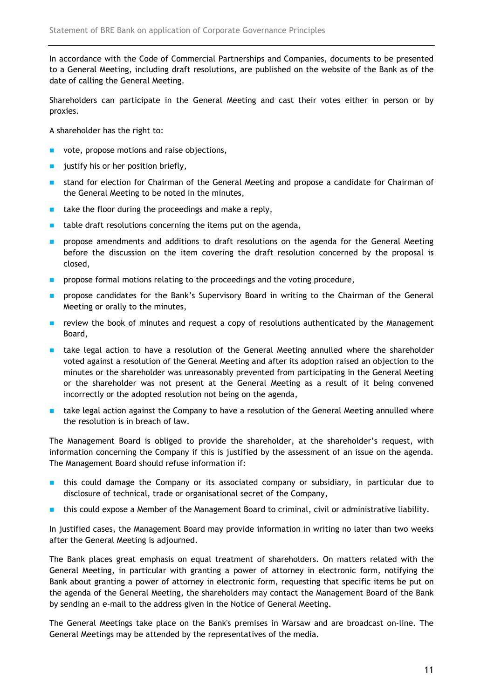In accordance with the Code of Commercial Partnerships and Companies, documents to be presented to a General Meeting, including draft resolutions, are published on the website of the Bank as of the date of calling the General Meeting.

Shareholders can participate in the General Meeting and cast their votes either in person or by proxies.

A shareholder has the right to:

- vote, propose motions and raise objections,
- **u** justify his or her position briefly,
- stand for election for Chairman of the General Meeting and propose a candidate for Chairman of the General Meeting to be noted in the minutes,
- **take the floor during the proceedings and make a reply,**
- $\blacksquare$  table draft resolutions concerning the items put on the agenda,
- **PED Propose amendments and additions to draft resolutions on the agenda for the General Meeting** before the discussion on the item covering the draft resolution concerned by the proposal is closed,
- **PED FIGOS** propose formal motions relating to the proceedings and the voting procedure,
- **Propose candidates for the Bank's Supervisory Board in writing to the Chairman of the General** Meeting or orally to the minutes,
- **F** review the book of minutes and request a copy of resolutions authenticated by the Management Board,
- **thake legal action to have a resolution of the General Meeting annulled where the shareholder** voted against a resolution of the General Meeting and after its adoption raised an objection to the minutes or the shareholder was unreasonably prevented from participating in the General Meeting or the shareholder was not present at the General Meeting as a result of it being convened incorrectly or the adopted resolution not being on the agenda,
- **E** take legal action against the Company to have a resolution of the General Meeting annulled where the resolution is in breach of law.

The Management Board is obliged to provide the shareholder, at the shareholder's request, with information concerning the Company if this is justified by the assessment of an issue on the agenda. The Management Board should refuse information if:

- **this could damage the Company or its associated company or subsidiary, in particular due to** disclosure of technical, trade or organisational secret of the Company,
- **this could expose a Member of the Management Board to criminal, civil or administrative liability.**

In justified cases, the Management Board may provide information in writing no later than two weeks after the General Meeting is adjourned.

The Bank places great emphasis on equal treatment of shareholders. On matters related with the General Meeting, in particular with granting a power of attorney in electronic form, notifying the Bank about granting a power of attorney in electronic form, requesting that specific items be put on the agenda of the General Meeting, the shareholders may contact the Management Board of the Bank by sending an e-mail to the address given in the Notice of General Meeting.

The General Meetings take place on the Bank's premises in Warsaw and are broadcast on-line. The General Meetings may be attended by the representatives of the media.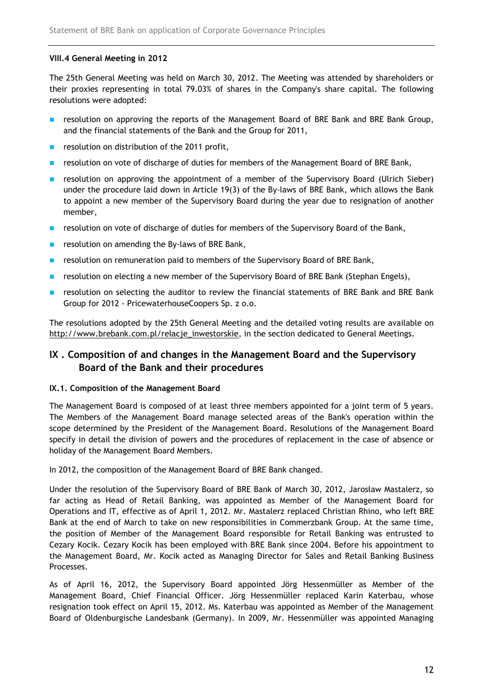# VIII.4 General Meeting in 2012

The 25th General Meeting was held on March 30, 2012. The Meeting was attended by shareholders or their proxies representing in total 79.03% of shares in the Company's share capital. The following resolutions were adopted:

- **EXECUTEDE 10 In Approving the reports of the Management Board of BRE Bank and BRE Bank Group,** and the financial statements of the Bank and the Group for 2011,
- resolution on distribution of the 2011 profit,
- **EXECUTED FIGUREY 1** resolution on vote of discharge of duties for members of the Management Board of BRE Bank,
- **EX EXECUTED FOAT A** resolution on approving the appointment of a member of the Supervisory Board (Ulrich Sieber) under the procedure laid down in Article 19(3) of the By-laws of BRE Bank, which allows the Bank to appoint a new member of the Supervisory Board during the year due to resignation of another member,
- **EXECUTE:** resolution on vote of discharge of duties for members of the Supervisory Board of the Bank,
- resolution on amending the By-laws of BRE Bank,
- **EXECTED** resolution on remuneration paid to members of the Supervisory Board of BRE Bank,
- **resolution on electing a new member of the Supervisory Board of BRE Bank (Stephan Engels),**
- **EX I** resolution on selecting the auditor to review the financial statements of BRE Bank and BRE Bank Group for 2012 - PricewaterhouseCoopers Sp. z o.o.

The resolutions adopted by the 25th General Meeting and the detailed voting results are available on http://www.brebank.com.pl/relacje\_inwestorskie, in the section dedicated to General Meetings.

# IX . Composition of and changes in the Management Board and the Supervisory Board of the Bank and their procedures

### IX.1. Composition of the Management Board

The Management Board is composed of at least three members appointed for a joint term of 5 years. The Members of the Management Board manage selected areas of the Bank's operation within the scope determined by the President of the Management Board. Resolutions of the Management Board specify in detail the division of powers and the procedures of replacement in the case of absence or holiday of the Management Board Members.

In 2012, the composition of the Management Board of BRE Bank changed.

Under the resolution of the Supervisory Board of BRE Bank of March 30, 2012, Jarosław Mastalerz, so far acting as Head of Retail Banking, was appointed as Member of the Management Board for Operations and IT, effective as of April 1, 2012. Mr. Mastalerz replaced Christian Rhino, who left BRE Bank at the end of March to take on new responsibilities in Commerzbank Group. At the same time, the position of Member of the Management Board responsible for Retail Banking was entrusted to Cezary Kocik. Cezary Kocik has been employed with BRE Bank since 2004. Before his appointment to the Management Board, Mr. Kocik acted as Managing Director for Sales and Retail Banking Business Processes.

As of April 16, 2012, the Supervisory Board appointed Jörg Hessenmüller as Member of the Management Board, Chief Financial Officer. Jörg Hessenmüller replaced Karin Katerbau, whose resignation took effect on April 15, 2012. Ms. Katerbau was appointed as Member of the Management Board of Oldenburgische Landesbank (Germany). In 2009, Mr. Hessenmüller was appointed Managing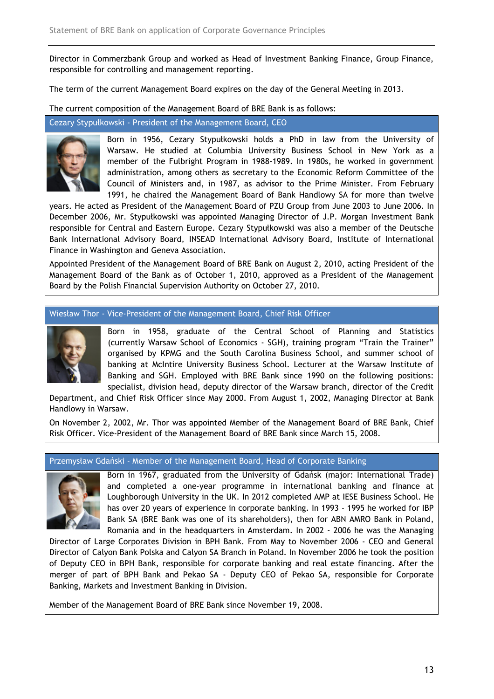Director in Commerzbank Group and worked as Head of Investment Banking Finance, Group Finance, responsible for controlling and management reporting.

The term of the current Management Board expires on the day of the General Meeting in 2013.

The current composition of the Management Board of BRE Bank is as follows:

Cezary Stypułkowski - President of the Management Board, CEO



Born in 1956, Cezary Stypułkowski holds a PhD in law from the University of Warsaw. He studied at Columbia University Business School in New York as a member of the Fulbright Program in 1988-1989. In 1980s, he worked in government administration, among others as secretary to the Economic Reform Committee of the Council of Ministers and, in 1987, as advisor to the Prime Minister. From February 1991, he chaired the Management Board of Bank Handlowy SA for more than twelve

years. He acted as President of the Management Board of PZU Group from June 2003 to June 2006. In December 2006, Mr. Stypułkowski was appointed Managing Director of J.P. Morgan Investment Bank responsible for Central and Eastern Europe. Cezary Stypułkowski was also a member of the Deutsche Bank International Advisory Board, INSEAD International Advisory Board, Institute of International Finance in Washington and Geneva Association.

Appointed President of the Management Board of BRE Bank on August 2, 2010, acting President of the Management Board of the Bank as of October 1, 2010, approved as a President of the Management Board by the Polish Financial Supervision Authority on October 27, 2010.

Wiesław Thor - Vice-President of the Management Board, Chief Risk Officer



Born in 1958, graduate of the Central School of Planning and Statistics (currently Warsaw School of Economics - SGH), training program "Train the Trainer" organised by KPMG and the South Carolina Business School, and summer school of banking at McIntire University Business School. Lecturer at the Warsaw Institute of Banking and SGH. Employed with BRE Bank since 1990 on the following positions: specialist, division head, deputy director of the Warsaw branch, director of the Credit

Department, and Chief Risk Officer since May 2000. From August 1, 2002, Managing Director at Bank Handlowy in Warsaw.

On November 2, 2002, Mr. Thor was appointed Member of the Management Board of BRE Bank, Chief Risk Officer. Vice-President of the Management Board of BRE Bank since March 15, 2008.

#### Przemysław Gdański - Member of the Management Board, Head of Corporate Banking



Born in 1967, graduated from the University of Gdańsk (major: International Trade) and completed a one-year programme in international banking and finance at Loughborough University in the UK. In 2012 completed AMP at IESE Business School. He has over 20 years of experience in corporate banking. In 1993 - 1995 he worked for IBP Bank SA (BRE Bank was one of its shareholders), then for ABN AMRO Bank in Poland, Romania and in the headquarters in Amsterdam. In 2002 - 2006 he was the Managing

Director of Large Corporates Division in BPH Bank. From May to November 2006 - CEO and General Director of Calyon Bank Polska and Calyon SA Branch in Poland. In November 2006 he took the position of Deputy CEO in BPH Bank, responsible for corporate banking and real estate financing. After the merger of part of BPH Bank and Pekao SA - Deputy CEO of Pekao SA, responsible for Corporate Banking, Markets and Investment Banking in Division.

Member of the Management Board of BRE Bank since November 19, 2008.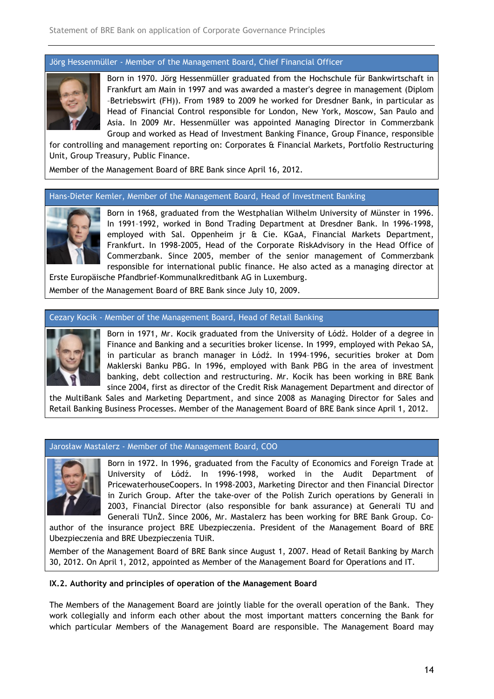# Jörg Hessenmüller - Member of the Management Board, Chief Financial Officer



Born in 1970. Jörg Hessenmüller graduated from the Hochschule für Bankwirtschaft in Frankfurt am Main in 1997 and was awarded a master's degree in management (Diplom –Betriebswirt (FH)). Betriebswirt From 1989 to 2009 he worked for Dresdner Bank, in particular as Head of Financial Control responsible for London, New York, Moscow, San Paulo and Asia. In 2009 Mr. Hessenmüller was appointed Managing Director in Commerzbank Group and worked as Head of Investment Banking Finance, Group Finance, responsible

for controlling and management reporting on: Corporates & Financial Markets, Portfolio Restructuring Unit, Group Treasury, Public Finance. Asia. In 2009 Mr. Hessenmüller was appointed Manuson Croup and worked as Head of Investment Banking Finder Controlling and management reporting on: Corporates & Financial, Group Treasury, Public Finance.<br>
ember of the Mana

Member of the Management Board of BRE Bank since April 16, 2012.

#### Hans-Dieter Kemler, Member of the Management Board, Head of Investment Banking



Born in 1968, graduated from the Westphalian Wilhelm University of Münster in 1996. In 1991–1992, worked in Bond Trading Department at Dresdner Bank. Bank. In 1996-1998, employed with Sal. Oppenheim jr & Cie. KGaA, Financial Markets Department, Frankfurt. In 1998- -2005, Head of the Corporate RiskAdvisory in the Head Office of Commerzbank. Since 2005, member of the senior management of Commerzbank Commerzbank. Since 2005, member of the senior management of Commerzbank<br>responsible for international public finance. He also acted as a managing director at Erste Europäische Pfandbrief-Kommunalkreditbank AG in Luxemburg. 2005, Head of the Corporate RiskAdvisory in the Head Office of<br>ce 2005, member of the senior management of Commerzbank<br>rrnational public finance. He also acted as a managing director at<br>unalkreditbank AG in Luxemburg.<br>of B

Erste Europäische Pfandbrief-Kommunalkreditbank AG in Luxemburg<br>Member of the Management Board of BRE Bank since July 10, 2009.

#### Cezary Kocik - Member of the Management Board, Head of Retail Banking



Born in 1971, Mr. Kocik graduated from the University of Łódź. Holder of a degree in Finance and Banking and a securities broker license. In 1999, employed with Pekao in particular as branch manager in Łódź. In 1994 1994–1996, securities broker at Dom Maklerski Banku PBG. In 1996, employed with Bank PBG in the area of investment banking, debt collection and restructuring. Mr. Kocik has been working in BRE Bank since 2004, first as director of the Credit Risk Management Department and director of Maklerski Banku PBG. In 1996, employed with Bank PBG in the area of investment<br>banking, debt collection and restructuring. Mr. Kocik has been working in BRE Bank<br>since 2004, first as director of the Credit Risk Management

the MultiBank Sales and Marketing Department, and since 2008 as Managing Director for Sales and Retail Banking Business Processes. Member of the Management Board of BRE Bank since April 1, 2012.

#### Jarosław Mastalerz - Member of the Management Board, COO



Born in 1972. In 1996, graduated from the Faculty of Economics and Foreign Trade at University of Łódź. In 1996-1998, worked in the Audit Department of PricewaterhouseCoopers. In 1998-2003, Marketing Director and then Financial Director in Zurich Group. After the take-over of the Polish Zurich operations by Generali in 2003, Financial Director (also responsible for bank assurance) at Generali TU and Generali TUnŻ. Since 2006, Mr. Mastalerz has been working for BRE Bank Group. Co Co-Im Lédź. In 1994-1996, securities broker at Dom<br>mployed with Bank PBG in the area of investment<br>tructuring. Mr. Kocik has been working in BRE Bank<br>Credit Risk Management Department and director of<br>and since 2008 as Managin

author of the insurance project BRE Ubezpieczenia. President of the Management Board of BRE Ubezpieczenia and BRE Ubezpieczenia TUiR. author of the insurance project BRE Ubezpieczenia. President of the Management Board of<br>Ubezpieczenia and BRE Ubezpieczenia TUiR.<br>Member of the Management Board of BRE Bank since August 1, 2007. Head of Retail Banking by M

Member of the Management Board of BRE Bank since August 1, 2007. Head of Retail Banking by March

#### IX.2. Authority and principles of operation of the Management Board

The Members of the Management Board are jointly liable for the overall operation of the Bank. They work collegially and inform each other about the most important matters concerning the Bank for 30, 2012. On April 1, 2012, appointed as Member of the Management Board for Operations and IT.<br>IX.2. Authority and principles of operation of the Management Board<br>The Members of the Management Board are jointly liable for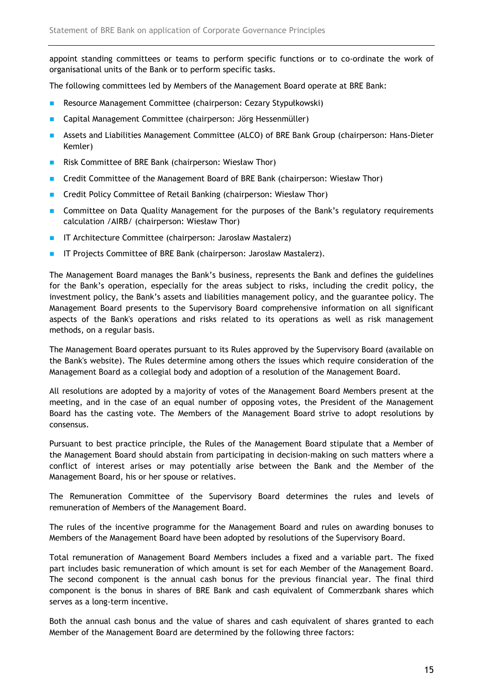appoint standing committees or teams to perform specific functions or to co-ordinate the work of organisational units of the Bank or to perform specific tasks.

The following committees led by Members of the Management Board operate at BRE Bank:

- **Resource Management Committee (chairperson: Cezary Stypułkowski)**
- **Capital Management Committee (chairperson: Jörg Hessenmüller)**
- Assets and Liabilities Management Committee (ALCO) of BRE Bank Group (chairperson: Hans-Dieter Kemler)
- **Risk Committee of BRE Bank (chairperson: Wiesław Thor)**
- Credit Committee of the Management Board of BRE Bank (chairperson: Wiesław Thor)
- **E** Credit Policy Committee of Retail Banking (chairperson: Wiesław Thor)
- **Committee on Data Quality Management for the purposes of the Bank's regulatory requirements** calculation /AIRB/ (chairperson: Wiesław Thor)
- **IF Architecture Committee (chairperson: Jarosław Mastalerz)**
- **IF Projects Committee of BRE Bank (chairperson: Jarosław Mastalerz).**

The Management Board manages the Bank's business, represents the Bank and defines the guidelines for the Bank's operation, especially for the areas subject to risks, including the credit policy, the investment policy, the Bank's assets and liabilities management policy, and the guarantee policy. The Management Board presents to the Supervisory Board comprehensive information on all significant aspects of the Bank's operations and risks related to its operations as well as risk management methods, on a regular basis.

The Management Board operates pursuant to its Rules approved by the Supervisory Board (available on the Bank's website). The Rules determine among others the issues which require consideration of the Management Board as a collegial body and adoption of a resolution of the Management Board.

All resolutions are adopted by a majority of votes of the Management Board Members present at the meeting, and in the case of an equal number of opposing votes, the President of the Management Board has the casting vote. The Members of the Management Board strive to adopt resolutions by consensus.

Pursuant to best practice principle, the Rules of the Management Board stipulate that a Member of the Management Board should abstain from participating in decision-making on such matters where a conflict of interest arises or may potentially arise between the Bank and the Member of the Management Board, his or her spouse or relatives.

The Remuneration Committee of the Supervisory Board determines the rules and levels of remuneration of Members of the Management Board.

The rules of the incentive programme for the Management Board and rules on awarding bonuses to Members of the Management Board have been adopted by resolutions of the Supervisory Board.

Total remuneration of Management Board Members includes a fixed and a variable part. The fixed part includes basic remuneration of which amount is set for each Member of the Management Board. The second component is the annual cash bonus for the previous financial year. The final third component is the bonus in shares of BRE Bank and cash equivalent of Commerzbank shares which serves as a long-term incentive.

Both the annual cash bonus and the value of shares and cash equivalent of shares granted to each Member of the Management Board are determined by the following three factors: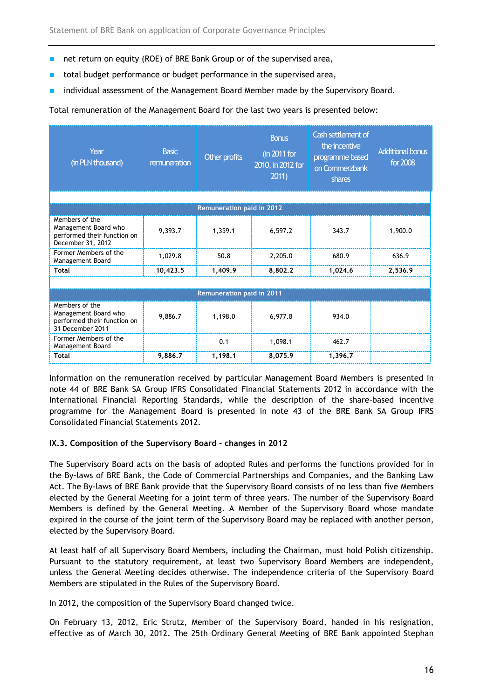- net return on equity (ROE) of BRE Bank Group or of the supervised area,
- total budget performance or budget performance in the supervised area,
- individual assessment of the Management Board Member made by the Supervisory Board.

Total remuneration of the Management Board for the last two years is presented below:

| Year<br>(in PLN thousand)                                                                  | <b>Basic</b><br>remuneration | Other profits                    | <b>Bonus</b><br>(in 2011 for<br>2010, in 2012 for<br>2011) | Cash settlement of<br>the incentive<br>programme based<br>on Commerzbank<br>shares | <b>Additional bonus</b><br>for 2008 |
|--------------------------------------------------------------------------------------------|------------------------------|----------------------------------|------------------------------------------------------------|------------------------------------------------------------------------------------|-------------------------------------|
|                                                                                            |                              |                                  |                                                            |                                                                                    |                                     |
|                                                                                            |                              | <b>Remuneration paid in 2012</b> |                                                            |                                                                                    |                                     |
| Members of the<br>Management Board who<br>performed their function on<br>December 31, 2012 | 9,393.7                      | 1,359.1                          | 6,597.2                                                    | 343.7                                                                              | 1,900.0                             |
| Former Members of the<br>Management Board                                                  | 1,029.8                      | 50.8                             | 2,205.0                                                    | 680.9                                                                              | 636.9                               |
| <b>Total</b>                                                                               | 10,423.5                     | 1,409.9                          | 8,802.2                                                    | 1,024.6                                                                            | 2,536.9                             |
|                                                                                            |                              |                                  |                                                            |                                                                                    |                                     |
| <b>Remuneration paid in 2011</b>                                                           |                              |                                  |                                                            |                                                                                    |                                     |
| Members of the<br>Management Board who<br>performed their function on<br>31 December 2011  | 9,886.7                      | 1,198.0                          | 6,977.8                                                    | 934.0                                                                              |                                     |
| Former Members of the<br>Management Board                                                  |                              | 0.1                              | 1,098.1                                                    | 462.7                                                                              |                                     |
| <b>Total</b>                                                                               | 9,886.7                      | 1,198.1                          | 8,075.9                                                    | 1,396.7                                                                            |                                     |

Information on the remuneration received by particular Management Board Members is presented in note 44 of BRE Bank SA Group IFRS Consolidated Financial Statements 2012 in accordance with the International Financial Reporting Standards, while the description of the share-based incentive programme for the Management Board is presented in note 43 of the BRE Bank SA Group IFRS Consolidated Financial Statements 2012.

### IX.3. Composition of the Supervisory Board - changes in 2012

The Supervisory Board acts on the basis of adopted Rules and performs the functions provided for in the By-laws of BRE Bank, the Code of Commercial Partnerships and Companies, and the Banking Law Act. The By-laws of BRE Bank provide that the Supervisory Board consists of no less than five Members elected by the General Meeting for a joint term of three years. The number of the Supervisory Board Members is defined by the General Meeting. A Member of the Supervisory Board whose mandate expired in the course of the joint term of the Supervisory Board may be replaced with another person, elected by the Supervisory Board.

At least half of all Supervisory Board Members, including the Chairman, must hold Polish citizenship. Pursuant to the statutory requirement, at least two Supervisory Board Members are independent, unless the General Meeting decides otherwise. The independence criteria of the Supervisory Board Members are stipulated in the Rules of the Supervisory Board.

In 2012, the composition of the Supervisory Board changed twice.

On February 13, 2012, Eric Strutz, Member of the Supervisory Board, handed in his resignation, effective as of March 30, 2012. The 25th Ordinary General Meeting of BRE Bank appointed Stephan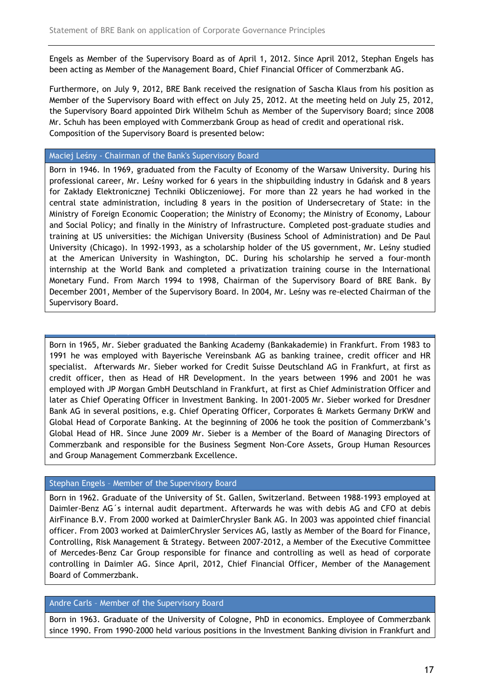Engels as Member of the Supervisory Board as of April 1, 2012. Since April 2012, Stephan Engels has been acting as Member of the Management Board, Chief Financial Officer of Commerzbank AG.

Furthermore, on July 9, 2012, BRE Bank received the resignation of Sascha Klaus from his position as Member of the Supervisory Board with effect on July 25, 2012. At the meeting held on July 25, 2012, the Supervisory Board appointed Dirk Wilhelm Schuh as Member of the Supervisory Board; since 2008 Mr. Schuh has been employed with Commerzbank Group as head of credit and operational risk. Composition of the Supervisory Board is presented below:

# Maciej Leśny - Chairman of the Bank's Supervisory Board

Ulrich Sieber - Deputy Chairman of the Supervisory Board

Born in 1946. In 1969, graduated from the Faculty of Economy of the Warsaw University. During his professional career, Mr. Leśny worked for 6 years in the shipbuilding industry in Gdańsk and 8 years for Zakłady Elektronicznej Techniki Obliczeniowej. For more than 22 years he had worked in the central state administration, including 8 years in the position of Undersecretary of State: in the Ministry of Foreign Economic Cooperation; the Ministry of Economy; the Ministry of Economy, Labour and Social Policy; and finally in the Ministry of Infrastructure. Completed post-graduate studies and training at US universities: the Michigan University (Business School of Administration) and De Paul University (Chicago). In 1992-1993, as a scholarship holder of the US government, Mr. Leśny studied at the American University in Washington, DC. During his scholarship he served a four-month internship at the World Bank and completed a privatization training course in the International Monetary Fund. From March 1994 to 1998, Chairman of the Supervisory Board of BRE Bank. By December 2001, Member of the Supervisory Board. In 2004, Mr. Leśny was re-elected Chairman of the Supervisory Board.

Born in 1965, Mr. Sieber graduated the Banking Academy (Bankakademie) in Frankfurt. From 1983 to 1991 he was employed with Bayerische Vereinsbank AG as banking trainee, credit officer and HR specialist. Afterwards Mr. Sieber worked for Credit Suisse Deutschland AG in Frankfurt, at first as credit officer, then as Head of HR Development. In the years between 1996 and 2001 he was employed with JP Morgan GmbH Deutschland in Frankfurt, at first as Chief Administration Officer and later as Chief Operating Officer in Investment Banking. In 2001-2005 Mr. Sieber worked for Dresdner Bank AG in several positions, e.g. Chief Operating Officer, Corporates & Markets Germany DrKW and Global Head of Corporate Banking. At the beginning of 2006 he took the position of Commerzbank's Global Head of HR. Since June 2009 Mr. Sieber is a Member of the Board of Managing Directors of Commerzbank and responsible for the Business Segment Non-Core Assets, Group Human Resources and Group Management Commerzbank Excellence.

# Stephan Engels – Member of the Supervisory Board

Born in 1962. Graduate of the University of St. Gallen, Switzerland. Between 1988-1993 employed at Daimler-Benz AG´s internal audit department. Afterwards he was with debis AG and CFO at debis AirFinance B.V. From 2000 worked at DaimlerChrysler Bank AG. In 2003 was appointed chief financial officer. From 2003 worked at DaimlerChrysler Services AG, lastly as Member of the Board for Finance, Controlling, Risk Management & Strategy. Between 2007-2012, a Member of the Executive Committee of Mercedes-Benz Car Group responsible for finance and controlling as well as head of corporate controlling in Daimler AG. Since April, 2012, Chief Financial Officer, Member of the Management Board of Commerzbank.

# Andre Carls – Member of the Supervisory Board

Born in 1963. Graduate of the University of Cologne, PhD in economics. Employee of Commerzbank since 1990. From 1990-2000 held various positions in the Investment Banking division in Frankfurt and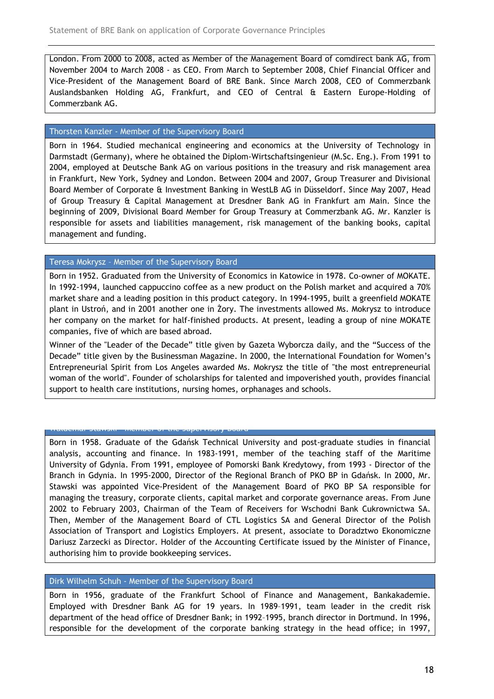London. From 2000 to 2008, acted as Member of the Management Board of comdirect bank AG, from November 2004 to March 2008 - as CEO. From March to September 2008, Chief Financial Officer and Vice-President of the Management Board of BRE Bank. Since March 2008, CEO of Commerzbank Auslandsbanken Holding AG, Frankfurt, and CEO of Central & Eastern Europe-Holding of Commerzbank AG.

# Thorsten Kanzler - Member of the Supervisory Board

Born in 1964. Studied mechanical engineering and economics at the University of Technology in Darmstadt (Germany), where he obtained the Diplom-Wirtschaftsingenieur (M.Sc. Eng.). From 1991 to 2004, employed at Deutsche Bank AG on various positions in the treasury and risk management area in Frankfurt, New York, Sydney and London. Between 2004 and 2007, Group Treasurer and Divisional Board Member of Corporate & Investment Banking in WestLB AG in Düsseldorf. Since May 2007, Head of Group Treasury & Capital Management at Dresdner Bank AG in Frankfurt am Main. Since the beginning of 2009, Divisional Board Member for Group Treasury at Commerzbank AG. Mr. Kanzler is responsible for assets and liabilities management, risk management of the banking books, capital management and funding.

# Teresa Mokrysz – Member of the Supervisory Board

Born in 1952. Graduated from the University of Economics in Katowice in 1978. Co-owner of MOKATE. In 1992-1994, launched cappuccino coffee as a new product on the Polish market and acquired a 70% market share and a leading position in this product category. In 1994-1995, built a greenfield MOKATE plant in Ustroń, and in 2001 another one in Żory. The investments allowed Ms. Mokrysz to introduce her company on the market for half-finished products. At present, leading a group of nine MOKATE companies, five of which are based abroad.

Winner of the "Leader of the Decade" title given by Gazeta Wyborcza daily, and the "Success of the Decade" title given by the Businessman Magazine. In 2000, the International Foundation for Women's Entrepreneurial Spirit from Los Angeles awarded Ms. Mokrysz the title of "the most entrepreneurial woman of the world". Founder of scholarships for talented and impoverished youth, provides financial support to health care institutions, nursing homes, orphanages and schools.

# Waldemar Stawski - Member of the Supervisory Board

Born in 1958. Graduate of the Gdańsk Technical University and post-graduate studies in financial analysis, accounting and finance. In 1983-1991, member of the teaching staff of the Maritime University of Gdynia. From 1991, employee of Pomorski Bank Kredytowy, from 1993 - Director of the Branch in Gdynia. In 1995-2000, Director of the Regional Branch of PKO BP in Gdańsk. In 2000, Mr. Stawski was appointed Vice-President of the Management Board of PKO BP SA responsible for managing the treasury, corporate clients, capital market and corporate governance areas. From June 2002 to February 2003, Chairman of the Team of Receivers for Wschodni Bank Cukrownictwa SA. Then, Member of the Management Board of CTL Logistics SA and General Director of the Polish Association of Transport and Logistics Employers. At present, associate to Doradztwo Ekonomiczne Dariusz Zarzecki as Director. Holder of the Accounting Certificate issued by the Minister of Finance, authorising him to provide bookkeeping services.

### Dirk Wilhelm Schuh - Member of the Supervisory Board

Born in 1956, graduate of the Frankfurt School of Finance and Management, Bankakademie. Employed with Dresdner Bank AG for 19 years. In 1989–1991, team leader in the credit risk department of the head office of Dresdner Bank; in 1992–1995, branch director in Dortmund. In 1996, responsible for the development of the corporate banking strategy in the head office; in 1997,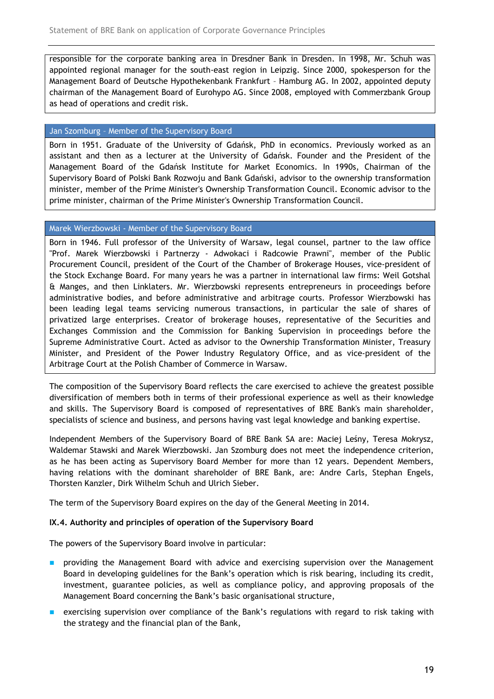responsible for the corporate banking area in Dresdner Bank in Dresden. In 1998, Mr. Schuh was appointed regional manager for the south-east region in Leipzig. Since 2000, spokesperson for the Management Board of Deutsche Hypothekenbank Frankfurt – Hamburg AG. In 2002, appointed deputy chairman of the Management Board of Eurohypo AG. Since 2008, employed with Commerzbank Group as head of operations and credit risk.

# Jan Szomburg – Member of the Supervisory Board

Born in 1951. Graduate of the University of Gdańsk, PhD in economics. Previously worked as an assistant and then as a lecturer at the University of Gdańsk. Founder and the President of the Management Board of the Gdańsk Institute for Market Economics. In 1990s, Chairman of the Supervisory Board of Polski Bank Rozwoju and Bank Gdański, advisor to the ownership transformation minister, member of the Prime Minister's Ownership Transformation Council. Economic advisor to the prime minister, chairman of the Prime Minister's Ownership Transformation Council.

# Marek Wierzbowski - Member of the Supervisory Board

Born in 1946. Full professor of the University of Warsaw, legal counsel, partner to the law office "Prof. Marek Wierzbowski i Partnerzy - Adwokaci i Radcowie Prawni", member of the Public Procurement Council, president of the Court of the Chamber of Brokerage Houses, vice-president of the Stock Exchange Board. For many years he was a partner in international law firms: Weil Gotshal & Manges, and then Linklaters. Mr. Wierzbowski represents entrepreneurs in proceedings before administrative bodies, and before administrative and arbitrage courts. Professor Wierzbowski has been leading legal teams servicing numerous transactions, in particular the sale of shares of privatized large enterprises. Creator of brokerage houses, representative of the Securities and Exchanges Commission and the Commission for Banking Supervision in proceedings before the Supreme Administrative Court. Acted as advisor to the Ownership Transformation Minister, Treasury Minister, and President of the Power Industry Regulatory Office, and as vice-president of the Arbitrage Court at the Polish Chamber of Commerce in Warsaw.

The composition of the Supervisory Board reflects the care exercised to achieve the greatest possible diversification of members both in terms of their professional experience as well as their knowledge and skills. The Supervisory Board is composed of representatives of BRE Bank's main shareholder, specialists of science and business, and persons having vast legal knowledge and banking expertise.

Independent Members of the Supervisory Board of BRE Bank SA are: Maciej Leśny, Teresa Mokrysz, Waldemar Stawski and Marek Wierzbowski. Jan Szomburg does not meet the independence criterion, as he has been acting as Supervisory Board Member for more than 12 years. Dependent Members, having relations with the dominant shareholder of BRE Bank, are: Andre Carls, Stephan Engels, Thorsten Kanzler, Dirk Wilhelm Schuh and Ulrich Sieber.

The term of the Supervisory Board expires on the day of the General Meeting in 2014.

### IX.4. Authority and principles of operation of the Supervisory Board

The powers of the Supervisory Board involve in particular:

- **P** providing the Management Board with advice and exercising supervision over the Management Board in developing guidelines for the Bank's operation which is risk bearing, including its credit, investment, guarantee policies, as well as compliance policy, and approving proposals of the Management Board concerning the Bank's basic organisational structure,
- exercising supervision over compliance of the Bank's regulations with regard to risk taking with the strategy and the financial plan of the Bank,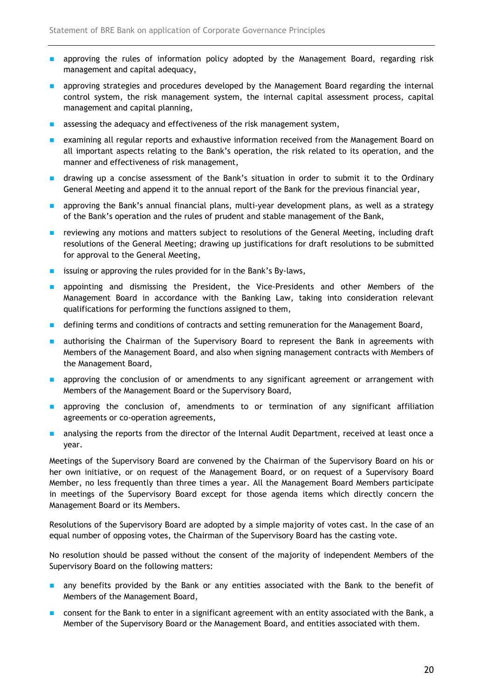- **a** approving the rules of information policy adopted by the Management Board, regarding risk management and capital adequacy,
- **a** approving strategies and procedures developed by the Management Board regarding the internal control system, the risk management system, the internal capital assessment process, capital management and capital planning,
- **a** assessing the adequacy and effectiveness of the risk management system,
- **EXECUTER 12 FINDS** examining all regular reports and exhaustive information received from the Management Board on all important aspects relating to the Bank's operation, the risk related to its operation, and the manner and effectiveness of risk management,
- **n** drawing up a concise assessment of the Bank's situation in order to submit it to the Ordinary General Meeting and append it to the annual report of the Bank for the previous financial year,
- **a** approving the Bank's annual financial plans, multi-year development plans, as well as a strategy of the Bank's operation and the rules of prudent and stable management of the Bank,
- **EXECT** reviewing any motions and matters subject to resolutions of the General Meeting, including draft resolutions of the General Meeting; drawing up justifications for draft resolutions to be submitted for approval to the General Meeting,
- **EXECUTE:** issuing or approving the rules provided for in the Bank's By-laws,
- **a** appointing and dismissing the President, the Vice-Presidents and other Members of the Management Board in accordance with the Banking Law, taking into consideration relevant qualifications for performing the functions assigned to them,
- **defining terms and conditions of contracts and setting remuneration for the Management Board,**
- **a** authorising the Chairman of the Supervisory Board to represent the Bank in agreements with Members of the Management Board, and also when signing management contracts with Members of the Management Board,
- **a** approving the conclusion of or amendments to any significant agreement or arrangement with Members of the Management Board or the Supervisory Board,
- **a** approving the conclusion of, amendments to or termination of any significant affiliation agreements or co-operation agreements,
- **a** analysing the reports from the director of the Internal Audit Department, received at least once a year.

Meetings of the Supervisory Board are convened by the Chairman of the Supervisory Board on his or her own initiative, or on request of the Management Board, or on request of a Supervisory Board Member, no less frequently than three times a year. All the Management Board Members participate in meetings of the Supervisory Board except for those agenda items which directly concern the Management Board or its Members.

Resolutions of the Supervisory Board are adopted by a simple majority of votes cast. In the case of an equal number of opposing votes, the Chairman of the Supervisory Board has the casting vote.

No resolution should be passed without the consent of the majority of independent Members of the Supervisory Board on the following matters:

- any benefits provided by the Bank or any entities associated with the Bank to the benefit of Members of the Management Board,
- **n** consent for the Bank to enter in a significant agreement with an entity associated with the Bank, a Member of the Supervisory Board or the Management Board, and entities associated with them.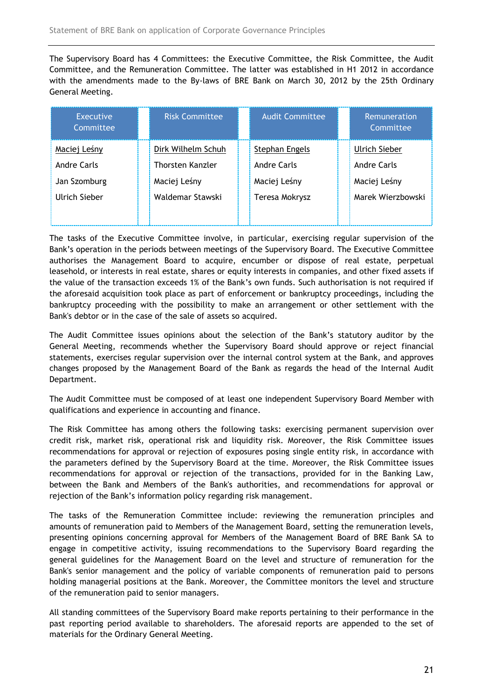The Supervisory Board has 4 Committees: the Executive Committee, the Risk Committee, the Audit Committee, and the Remuneration Committee. The latter was established in H1 2012 in accordance with the amendments made to the By-laws of BRE Bank on March 30, 2012 by the 25th Ordinary General Meeting.

| Executive<br>Committee | <b>Risk Committee</b> | <b>Audit Committee</b> | Remuneration<br>Committee |  |
|------------------------|-----------------------|------------------------|---------------------------|--|
| Maciej Leśny           | Dirk Wilhelm Schuh    | Stephan Engels         | Ulrich Sieber             |  |
| Andre Carls            | Thorsten Kanzler      | Andre Carls            | Andre Carls               |  |
| Jan Szomburg           | Maciej Leśny          | Maciej Leśny           | Maciej Leśny              |  |
| Ulrich Sieber          | Waldemar Stawski      | Teresa Mokrysz         | Marek Wierzbowski         |  |
|                        |                       |                        |                           |  |

The tasks of the Executive Committee involve, in particular, exercising regular supervision of the Bank's operation in the periods between meetings of the Supervisory Board. The Executive Committee authorises the Management Board to acquire, encumber or dispose of real estate, perpetual leasehold, or interests in real estate, shares or equity interests in companies, and other fixed assets if the value of the transaction exceeds 1% of the Bank's own funds. Such authorisation is not required if the aforesaid acquisition took place as part of enforcement or bankruptcy proceedings, including the bankruptcy proceeding with the possibility to make an arrangement or other settlement with the Bank's debtor or in the case of the sale of assets so acquired.

The Audit Committee issues opinions about the selection of the Bank's statutory auditor by the General Meeting, recommends whether the Supervisory Board should approve or reject financial statements, exercises regular supervision over the internal control system at the Bank, and approves changes proposed by the Management Board of the Bank as regards the head of the Internal Audit Department.

The Audit Committee must be composed of at least one independent Supervisory Board Member with qualifications and experience in accounting and finance.

The Risk Committee has among others the following tasks: exercising permanent supervision over credit risk, market risk, operational risk and liquidity risk. Moreover, the Risk Committee issues recommendations for approval or rejection of exposures posing single entity risk, in accordance with the parameters defined by the Supervisory Board at the time. Moreover, the Risk Committee issues recommendations for approval or rejection of the transactions, provided for in the Banking Law, between the Bank and Members of the Bank's authorities, and recommendations for approval or rejection of the Bank's information policy regarding risk management.

The tasks of the Remuneration Committee include: reviewing the remuneration principles and amounts of remuneration paid to Members of the Management Board, setting the remuneration levels, presenting opinions concerning approval for Members of the Management Board of BRE Bank SA to engage in competitive activity, issuing recommendations to the Supervisory Board regarding the general guidelines for the Management Board on the level and structure of remuneration for the Bank's senior management and the policy of variable components of remuneration paid to persons holding managerial positions at the Bank. Moreover, the Committee monitors the level and structure of the remuneration paid to senior managers.

All standing committees of the Supervisory Board make reports pertaining to their performance in the past reporting period available to shareholders. The aforesaid reports are appended to the set of materials for the Ordinary General Meeting.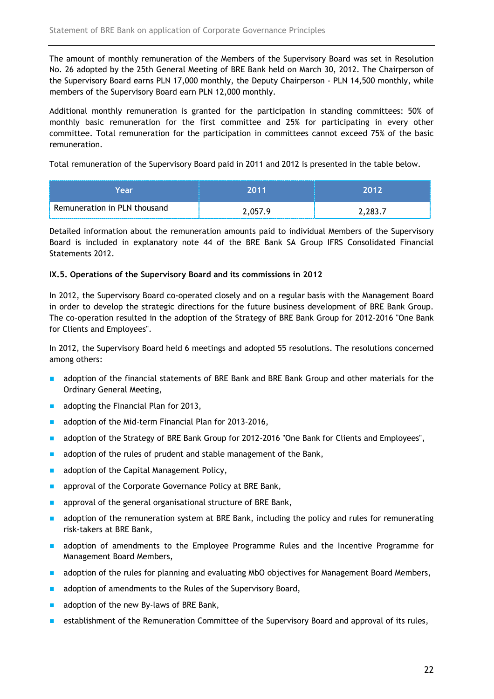The amount of monthly remuneration of the Members of the Supervisory Board was set in Resolution No. 26 adopted by the 25th General Meeting of BRE Bank held on March 30, 2012. The Chairperson of the Supervisory Board earns PLN 17,000 monthly, the Deputy Chairperson - PLN 14,500 monthly, while members of the Supervisory Board earn PLN 12,000 monthly.

Additional monthly remuneration is granted for the participation in standing committees: 50% of monthly basic remuneration for the first committee and 25% for participating in every other committee. Total remuneration for the participation in committees cannot exceed 75% of the basic remuneration.

Total remuneration of the Supervisory Board paid in 2011 and 2012 is presented in the table below.

| Year                         | , 11    | 2042    |
|------------------------------|---------|---------|
| Remuneration in PLN thousand | 2.057.9 | 2.283.7 |

Detailed information about the remuneration amounts paid to individual Members of the Supervisory Board is included in explanatory note 44 of the BRE Bank SA Group IFRS Consolidated Financial Statements 2012.

### IX.5. Operations of the Supervisory Board and its commissions in 2012

In 2012, the Supervisory Board co-operated closely and on a regular basis with the Management Board in order to develop the strategic directions for the future business development of BRE Bank Group. The co-operation resulted in the adoption of the Strategy of BRE Bank Group for 2012-2016 "One Bank for Clients and Employees".

In 2012, the Supervisory Board held 6 meetings and adopted 55 resolutions. The resolutions concerned among others:

- **a** adoption of the financial statements of BRE Bank and BRE Bank Group and other materials for the Ordinary General Meeting,
- $\blacksquare$  adopting the Financial Plan for 2013,
- adoption of the Mid-term Financial Plan for 2013-2016,
- **a** adoption of the Strategy of BRE Bank Group for 2012-2016 "One Bank for Clients and Employees",
- $\blacksquare$  adoption of the rules of prudent and stable management of the Bank,
- adoption of the Capital Management Policy,
- **a** approval of the Corporate Governance Policy at BRE Bank,
- **EXECUTE:** approval of the general organisational structure of BRE Bank,
- **a** adoption of the remuneration system at BRE Bank, including the policy and rules for remunerating risk-takers at BRE Bank,
- **a** adoption of amendments to the Employee Programme Rules and the Incentive Programme for Management Board Members,
- **a** adoption of the rules for planning and evaluating MbO objectives for Management Board Members,
- $\blacksquare$  adoption of amendments to the Rules of the Supervisory Board,
- $\blacksquare$  adoption of the new By-laws of BRE Bank,
- **EXECUTE:** establishment of the Remuneration Committee of the Supervisory Board and approval of its rules,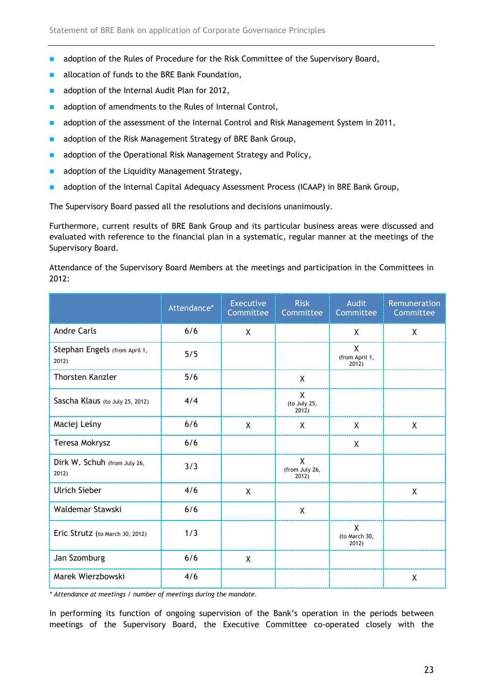- adoption of the Rules of Procedure for the Risk Committee of the Supervisory Board,
- allocation of funds to the BRE Bank Foundation,
- adoption of the Internal Audit Plan for 2012,
- adoption of amendments to the Rules of Internal Control,
- **a** adoption of the assessment of the Internal Control and Risk Management System in 2011,
- adoption of the Risk Management Strategy of BRE Bank Group,
- adoption of the Operational Risk Management Strategy and Policy,
- adoption of the Liquidity Management Strategy,
- **a** adoption of the Internal Capital Adequacy Assessment Process (ICAAP) in BRE Bank Group,

The Supervisory Board passed all the resolutions and decisions unanimously.

Furthermore, current results of BRE Bank Group and its particular business areas were discussed and evaluated with reference to the financial plan in a systematic, regular manner at the meetings of the Supervisory Board.

Attendance of the Supervisory Board Members at the meetings and participation in the Committees in 2012:

|                                        | Attendance* | <b>Executive</b><br>Committee | <b>Risk</b><br>Committee                | <b>Audit</b><br>Committee               | Remuneration<br>Committee |
|----------------------------------------|-------------|-------------------------------|-----------------------------------------|-----------------------------------------|---------------------------|
| <b>Andre Carls</b>                     | 6/6         | X                             |                                         | X                                       | X                         |
| Stephan Engels (from April 1,<br>2012) | 5/5         |                               |                                         | $\mathsf{X}$<br>(from April 1,<br>2012) |                           |
| <b>Thorsten Kanzler</b>                | 5/6         |                               | X                                       |                                         |                           |
| Sascha Klaus (to July 25, 2012)        | 4/4         |                               | $\mathsf{X}$<br>(to July 25,<br>2012)   |                                         |                           |
| Maciej Leśny                           | 6/6         | X                             | X                                       | X                                       | X                         |
| Teresa Mokrysz                         | 6/6         |                               |                                         | X                                       |                           |
| Dirk W. Schuh (from July 26,<br>2012)  | 3/3         |                               | $\mathsf{X}$<br>(from July 26,<br>2012) |                                         |                           |
| <b>Ulrich Sieber</b>                   | 4/6         | $\mathsf{X}$                  |                                         |                                         | $\mathsf{X}$              |
| Waldemar Stawski                       | 6/6         |                               | X                                       |                                         |                           |
| Eric Strutz (to March 30, 2012)        | 1/3         |                               |                                         | $\mathsf{X}$<br>(to March 30,<br>2012)  |                           |
| Jan Szomburg                           | 6/6         | $\mathsf{X}$                  |                                         |                                         |                           |
| Marek Wierzbowski                      | 4/6         |                               |                                         |                                         | X                         |

\* Attendance at meetings / number of meetings during the mandate.

In performing its function of ongoing supervision of the Bank's operation in the periods between meetings of the Supervisory Board, the Executive Committee co-operated closely with the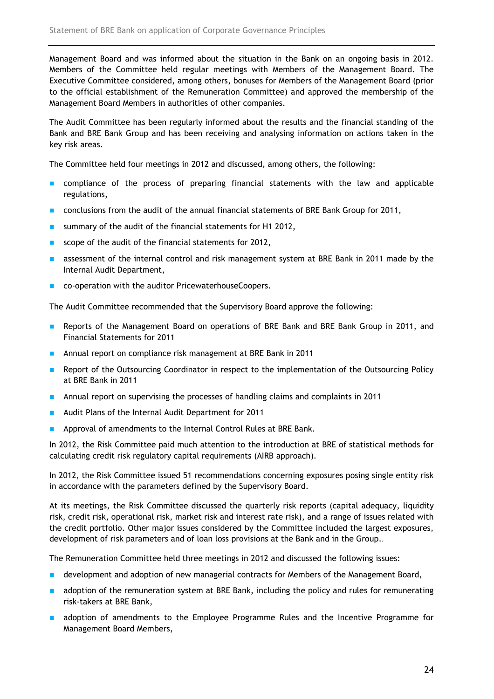Management Board and was informed about the situation in the Bank on an ongoing basis in 2012. Members of the Committee held regular meetings with Members of the Management Board. The Executive Committee considered, among others, bonuses for Members of the Management Board (prior to the official establishment of the Remuneration Committee) and approved the membership of the Management Board Members in authorities of other companies.

The Audit Committee has been regularly informed about the results and the financial standing of the Bank and BRE Bank Group and has been receiving and analysing information on actions taken in the key risk areas.

The Committee held four meetings in 2012 and discussed, among others, the following:

- **n** compliance of the process of preparing financial statements with the law and applicable regulations,
- **CONCLUSIONS FROM the audit of the annual financial statements of BRE Bank Group for 2011,**
- summary of the audit of the financial statements for H1 2012,
- scope of the audit of the financial statements for 2012,
- **a** assessment of the internal control and risk management system at BRE Bank in 2011 made by the Internal Audit Department,
- co-operation with the auditor PricewaterhouseCoopers.

The Audit Committee recommended that the Supervisory Board approve the following:

- **Reports of the Management Board on operations of BRE Bank and BRE Bank Group in 2011, and** Financial Statements for 2011
- **Annual report on compliance risk management at BRE Bank in 2011**
- **Report of the Outsourcing Coordinator in respect to the implementation of the Outsourcing Policy** at BRE Bank in 2011
- **Annual report on supervising the processes of handling claims and complaints in 2011**
- Audit Plans of the Internal Audit Department for 2011
- **Approval of amendments to the Internal Control Rules at BRE Bank.**

In 2012, the Risk Committee paid much attention to the introduction at BRE of statistical methods for calculating credit risk regulatory capital requirements (AIRB approach).

In 2012, the Risk Committee issued 51 recommendations concerning exposures posing single entity risk in accordance with the parameters defined by the Supervisory Board.

At its meetings, the Risk Committee discussed the quarterly risk reports (capital adequacy, liquidity risk, credit risk, operational risk, market risk and interest rate risk), and a range of issues related with the credit portfolio. Other major issues considered by the Committee included the largest exposures, development of risk parameters and of loan loss provisions at the Bank and in the Group..

The Remuneration Committee held three meetings in 2012 and discussed the following issues:

- **development and adoption of new managerial contracts for Members of the Management Board,**
- **a** adoption of the remuneration system at BRE Bank, including the policy and rules for remunerating risk-takers at BRE Bank,
- **a** adoption of amendments to the Employee Programme Rules and the Incentive Programme for Management Board Members,